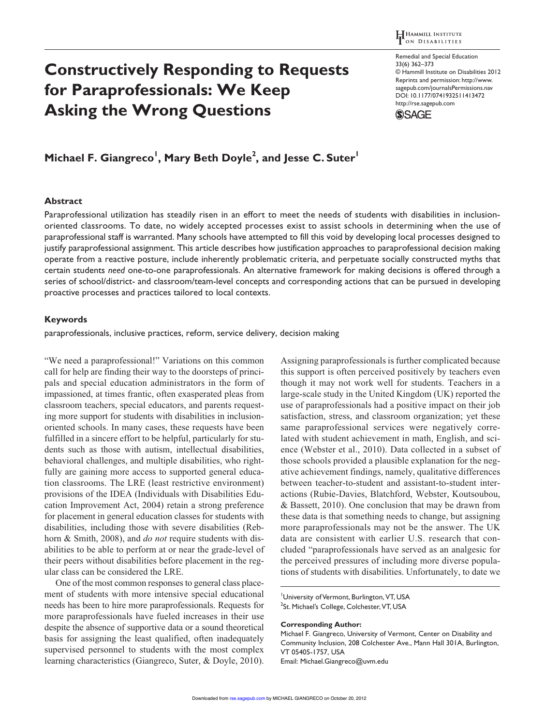# **Constructively Responding to Requests for Paraprofessionals: We Keep Asking the Wrong Questions**

Remedial and Special Education 33(6) 362–373 © Hammill Institute on Disabilities 2012 Reprints and permission: http://www. sagepub.com/journalsPermissions.nav DOI: 10.1177/0741932511413472 http://rse.sagepub.com



# <code>Michael F. Giangreco<sup>1</sup>, Mary Beth Doyle<sup>2</sup>, and Jesse C. Suter<sup>1</sup></code>

### **Abstract**

Paraprofessional utilization has steadily risen in an effort to meet the needs of students with disabilities in inclusionoriented classrooms. To date, no widely accepted processes exist to assist schools in determining when the use of paraprofessional staff is warranted. Many schools have attempted to fill this void by developing local processes designed to justify paraprofessional assignment. This article describes how justification approaches to paraprofessional decision making operate from a reactive posture, include inherently problematic criteria, and perpetuate socially constructed myths that certain students *need* one-to-one paraprofessionals. An alternative framework for making decisions is offered through a series of school/district- and classroom/team-level concepts and corresponding actions that can be pursued in developing proactive processes and practices tailored to local contexts.

### **Keywords**

paraprofessionals, inclusive practices, reform, service delivery, decision making

"We need a paraprofessional!" Variations on this common call for help are finding their way to the doorsteps of principals and special education administrators in the form of impassioned, at times frantic, often exasperated pleas from classroom teachers, special educators, and parents requesting more support for students with disabilities in inclusionoriented schools. In many cases, these requests have been fulfilled in a sincere effort to be helpful, particularly for students such as those with autism, intellectual disabilities, behavioral challenges, and multiple disabilities, who rightfully are gaining more access to supported general education classrooms. The LRE (least restrictive environment) provisions of the IDEA (Individuals with Disabilities Education Improvement Act, 2004) retain a strong preference for placement in general education classes for students with disabilities, including those with severe disabilities (Rebhorn & Smith, 2008), and *do not* require students with disabilities to be able to perform at or near the grade-level of their peers without disabilities before placement in the regular class can be considered the LRE.

One of the most common responses to general class placement of students with more intensive special educational needs has been to hire more paraprofessionals. Requests for more paraprofessionals have fueled increases in their use despite the absence of supportive data or a sound theoretical basis for assigning the least qualified, often inadequately supervised personnel to students with the most complex learning characteristics (Giangreco, Suter, & Doyle, 2010). Assigning paraprofessionals is further complicated because this support is often perceived positively by teachers even though it may not work well for students. Teachers in a large-scale study in the United Kingdom (UK) reported the use of paraprofessionals had a positive impact on their job satisfaction, stress, and classroom organization; yet these same paraprofessional services were negatively correlated with student achievement in math, English, and science (Webster et al., 2010). Data collected in a subset of those schools provided a plausible explanation for the negative achievement findings, namely, qualitative differences between teacher-to-student and assistant-to-student interactions (Rubie-Davies, Blatchford, Webster, Koutsoubou, & Bassett, 2010). One conclusion that may be drawn from these data is that something needs to change, but assigning more paraprofessionals may not be the answer. The UK data are consistent with earlier U.S. research that concluded "paraprofessionals have served as an analgesic for the perceived pressures of including more diverse populations of students with disabilities. Unfortunately, to date we

University of Vermont, Burlington, VT, USA <sup>2</sup>St. Michael's College, Colchester, VT, USA

#### **Corresponding Author:**

Michael F. Giangreco, University of Vermont, Center on Disability and Community Inclusion, 208 Colchester Ave., Mann Hall 301A, Burlington, VT 05405-1757, USA Email: Michael.Giangreco@uvm.edu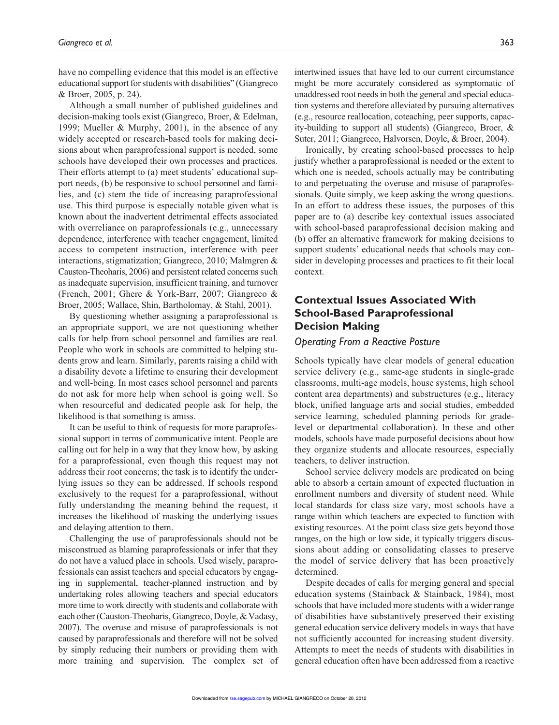have no compelling evidence that this model is an effective educational support for students with disabilities" (Giangreco & Broer, 2005, p. 24).

Although a small number of published guidelines and decision-making tools exist (Giangreco, Broer, & Edelman, 1999; Mueller & Murphy, 2001), in the absence of any widely accepted or research-based tools for making decisions about when paraprofessional support is needed, some schools have developed their own processes and practices. Their efforts attempt to (a) meet students' educational support needs, (b) be responsive to school personnel and families, and (c) stem the tide of increasing paraprofessional use. This third purpose is especially notable given what is known about the inadvertent detrimental effects associated with overreliance on paraprofessionals (e.g., unnecessary dependence, interference with teacher engagement, limited access to competent instruction, interference with peer interactions, stigmatization; Giangreco, 2010; Malmgren & Causton-Theoharis, 2006) and persistent related concerns such as inadequate supervision, insufficient training, and turnover (French, 2001; Ghere & York-Barr, 2007; Giangreco & Broer, 2005; Wallace, Shin, Bartholomay, & Stahl, 2001).

By questioning whether assigning a paraprofessional is an appropriate support, we are not questioning whether calls for help from school personnel and families are real. People who work in schools are committed to helping students grow and learn. Similarly, parents raising a child with a disability devote a lifetime to ensuring their development and well-being. In most cases school personnel and parents do not ask for more help when school is going well. So when resourceful and dedicated people ask for help, the likelihood is that something is amiss.

It can be useful to think of requests for more paraprofessional support in terms of communicative intent. People are calling out for help in a way that they know how, by asking for a paraprofessional, even though this request may not address their root concerns; the task is to identify the underlying issues so they can be addressed. If schools respond exclusively to the request for a paraprofessional, without fully understanding the meaning behind the request, it increases the likelihood of masking the underlying issues and delaying attention to them.

Challenging the use of paraprofessionals should not be misconstrued as blaming paraprofessionals or infer that they do not have a valued place in schools. Used wisely, paraprofessionals can assist teachers and special educators by engaging in supplemental, teacher-planned instruction and by undertaking roles allowing teachers and special educators more time to work directly with students and collaborate with each other (Causton-Theoharis, Giangreco, Doyle, & Vadasy, 2007). The overuse and misuse of paraprofessionals is not caused by paraprofessionals and therefore will not be solved by simply reducing their numbers or providing them with more training and supervision. The complex set of intertwined issues that have led to our current circumstance might be more accurately considered as symptomatic of unaddressed root needs in both the general and special education systems and therefore alleviated by pursuing alternatives (e.g., resource reallocation, coteaching, peer supports, capacity-building to support all students) (Giangreco, Broer, & Suter, 2011; Giangreco, Halvorsen, Doyle, & Broer, 2004).

Ironically, by creating school-based processes to help justify whether a paraprofessional is needed or the extent to which one is needed, schools actually may be contributing to and perpetuating the overuse and misuse of paraprofessionals. Quite simply, we keep asking the wrong questions. In an effort to address these issues, the purposes of this paper are to (a) describe key contextual issues associated with school-based paraprofessional decision making and (b) offer an alternative framework for making decisions to support students' educational needs that schools may consider in developing processes and practices to fit their local context.

# **Contextual Issues Associated With School-Based Paraprofessional Decision Making**

### *Operating From a Reactive Posture*

Schools typically have clear models of general education service delivery (e.g., same-age students in single-grade classrooms, multi-age models, house systems, high school content area departments) and substructures (e.g., literacy block, unified language arts and social studies, embedded service learning, scheduled planning periods for gradelevel or departmental collaboration). In these and other models, schools have made purposeful decisions about how they organize students and allocate resources, especially teachers, to deliver instruction.

School service delivery models are predicated on being able to absorb a certain amount of expected fluctuation in enrollment numbers and diversity of student need. While local standards for class size vary, most schools have a range within which teachers are expected to function with existing resources. At the point class size gets beyond those ranges, on the high or low side, it typically triggers discussions about adding or consolidating classes to preserve the model of service delivery that has been proactively determined.

Despite decades of calls for merging general and special education systems (Stainback & Stainback, 1984), most schools that have included more students with a wider range of disabilities have substantively preserved their existing general education service delivery models in ways that have not sufficiently accounted for increasing student diversity. Attempts to meet the needs of students with disabilities in general education often have been addressed from a reactive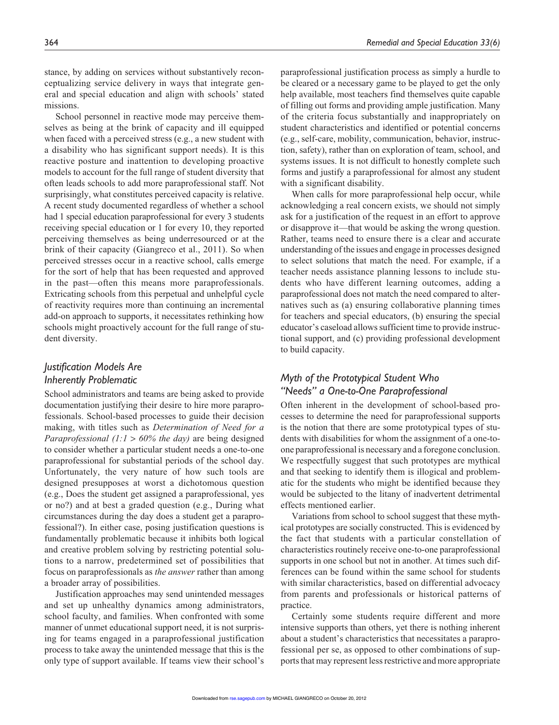stance, by adding on services without substantively reconceptualizing service delivery in ways that integrate general and special education and align with schools' stated missions.

School personnel in reactive mode may perceive themselves as being at the brink of capacity and ill equipped when faced with a perceived stress (e.g., a new student with a disability who has significant support needs). It is this reactive posture and inattention to developing proactive models to account for the full range of student diversity that often leads schools to add more paraprofessional staff. Not surprisingly, what constitutes perceived capacity is relative. A recent study documented regardless of whether a school had 1 special education paraprofessional for every 3 students receiving special education or 1 for every 10, they reported perceiving themselves as being underresourced or at the brink of their capacity (Giangreco et al., 2011). So when perceived stresses occur in a reactive school, calls emerge for the sort of help that has been requested and approved in the past—often this means more paraprofessionals. Extricating schools from this perpetual and unhelpful cycle of reactivity requires more than continuing an incremental add-on approach to supports, it necessitates rethinking how schools might proactively account for the full range of student diversity.

# *Justification Models Are Inherently Problematic*

School administrators and teams are being asked to provide documentation justifying their desire to hire more paraprofessionals. School-based processes to guide their decision making, with titles such as *Determination of Need for a Paraprofessional (1:1* > *60% the day)* are being designed to consider whether a particular student needs a one-to-one paraprofessional for substantial periods of the school day. Unfortunately, the very nature of how such tools are designed presupposes at worst a dichotomous question (e.g., Does the student get assigned a paraprofessional, yes or no?) and at best a graded question (e.g., During what circumstances during the day does a student get a paraprofessional?). In either case, posing justification questions is fundamentally problematic because it inhibits both logical and creative problem solving by restricting potential solutions to a narrow, predetermined set of possibilities that focus on paraprofessionals as *the answer* rather than among a broader array of possibilities.

Justification approaches may send unintended messages and set up unhealthy dynamics among administrators, school faculty, and families. When confronted with some manner of unmet educational support need, it is not surprising for teams engaged in a paraprofessional justification process to take away the unintended message that this is the only type of support available. If teams view their school's

paraprofessional justification process as simply a hurdle to be cleared or a necessary game to be played to get the only help available, most teachers find themselves quite capable of filling out forms and providing ample justification. Many of the criteria focus substantially and inappropriately on student characteristics and identified or potential concerns (e.g., self-care, mobility, communication, behavior, instruction, safety), rather than on exploration of team, school, and systems issues. It is not difficult to honestly complete such forms and justify a paraprofessional for almost any student with a significant disability.

When calls for more paraprofessional help occur, while acknowledging a real concern exists, we should not simply ask for a justification of the request in an effort to approve or disapprove it—that would be asking the wrong question. Rather, teams need to ensure there is a clear and accurate understanding of the issues and engage in processes designed to select solutions that match the need. For example, if a teacher needs assistance planning lessons to include students who have different learning outcomes, adding a paraprofessional does not match the need compared to alternatives such as (a) ensuring collaborative planning times for teachers and special educators, (b) ensuring the special educator's caseload allows sufficient time to provide instructional support, and (c) providing professional development to build capacity.

# *Myth of the Prototypical Student Who "Needs" a One-to-One Paraprofessional*

Often inherent in the development of school-based processes to determine the need for paraprofessional supports is the notion that there are some prototypical types of students with disabilities for whom the assignment of a one-toone paraprofessional is necessary and a foregone conclusion. We respectfully suggest that such prototypes are mythical and that seeking to identify them is illogical and problematic for the students who might be identified because they would be subjected to the litany of inadvertent detrimental effects mentioned earlier.

Variations from school to school suggest that these mythical prototypes are socially constructed. This is evidenced by the fact that students with a particular constellation of characteristics routinely receive one-to-one paraprofessional supports in one school but not in another. At times such differences can be found within the same school for students with similar characteristics, based on differential advocacy from parents and professionals or historical patterns of practice.

Certainly some students require different and more intensive supports than others, yet there is nothing inherent about a student's characteristics that necessitates a paraprofessional per se, as opposed to other combinations of supports that may represent less restrictive and more appropriate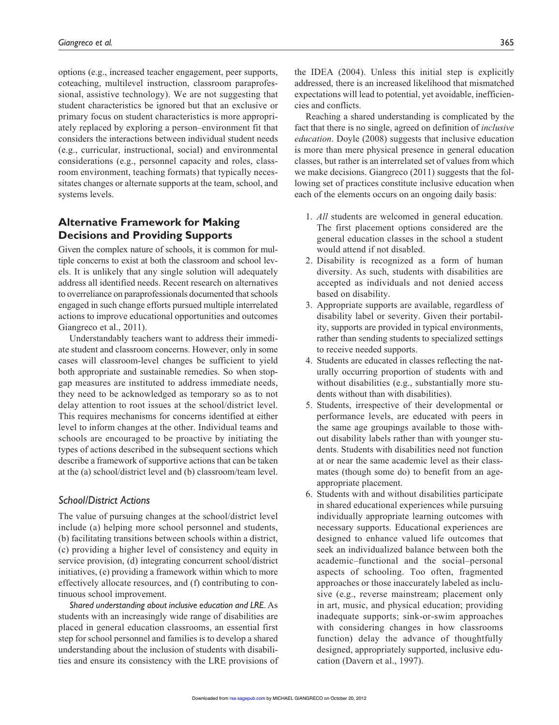options (e.g., increased teacher engagement, peer supports, coteaching, multilevel instruction, classroom paraprofessional, assistive technology). We are not suggesting that student characteristics be ignored but that an exclusive or primary focus on student characteristics is more appropriately replaced by exploring a person–environment fit that considers the interactions between individual student needs (e.g., curricular, instructional, social) and environmental considerations (e.g., personnel capacity and roles, classroom environment, teaching formats) that typically necessitates changes or alternate supports at the team, school, and systems levels.

# **Alternative Framework for Making Decisions and Providing Supports**

Given the complex nature of schools, it is common for multiple concerns to exist at both the classroom and school levels. It is unlikely that any single solution will adequately address all identified needs. Recent research on alternatives to overreliance on paraprofessionals documented that schools engaged in such change efforts pursued multiple interrelated actions to improve educational opportunities and outcomes Giangreco et al., 2011).

Understandably teachers want to address their immediate student and classroom concerns. However, only in some cases will classroom-level changes be sufficient to yield both appropriate and sustainable remedies. So when stopgap measures are instituted to address immediate needs, they need to be acknowledged as temporary so as to not delay attention to root issues at the school/district level. This requires mechanisms for concerns identified at either level to inform changes at the other. Individual teams and schools are encouraged to be proactive by initiating the types of actions described in the subsequent sections which describe a framework of supportive actions that can be taken at the (a) school/district level and (b) classroom/team level.

### *School/District Actions*

The value of pursuing changes at the school/district level include (a) helping more school personnel and students, (b) facilitating transitions between schools within a district, (c) providing a higher level of consistency and equity in service provision, (d) integrating concurrent school/district initiatives, (e) providing a framework within which to more effectively allocate resources, and (f) contributing to continuous school improvement.

*Shared understanding about inclusive education and LRE*. As students with an increasingly wide range of disabilities are placed in general education classrooms, an essential first step for school personnel and families is to develop a shared understanding about the inclusion of students with disabilities and ensure its consistency with the LRE provisions of the IDEA (2004). Unless this initial step is explicitly addressed, there is an increased likelihood that mismatched expectations will lead to potential, yet avoidable, inefficiencies and conflicts.

Reaching a shared understanding is complicated by the fact that there is no single, agreed on definition of *inclusive education*. Doyle (2008) suggests that inclusive education is more than mere physical presence in general education classes, but rather is an interrelated set of values from which we make decisions. Giangreco (2011) suggests that the following set of practices constitute inclusive education when each of the elements occurs on an ongoing daily basis:

- 1. *All* students are welcomed in general education. The first placement options considered are the general education classes in the school a student would attend if not disabled.
- 2. Disability is recognized as a form of human diversity. As such, students with disabilities are accepted as individuals and not denied access based on disability.
- 3. Appropriate supports are available, regardless of disability label or severity. Given their portability, supports are provided in typical environments, rather than sending students to specialized settings to receive needed supports.
- 4. Students are educated in classes reflecting the naturally occurring proportion of students with and without disabilities (e.g., substantially more students without than with disabilities).
- 5. Students, irrespective of their developmental or performance levels, are educated with peers in the same age groupings available to those without disability labels rather than with younger students. Students with disabilities need not function at or near the same academic level as their classmates (though some do) to benefit from an ageappropriate placement.
- 6. Students with and without disabilities participate in shared educational experiences while pursuing individually appropriate learning outcomes with necessary supports. Educational experiences are designed to enhance valued life outcomes that seek an individualized balance between both the academic–functional and the social–personal aspects of schooling. Too often, fragmented approaches or those inaccurately labeled as inclusive (e.g., reverse mainstream; placement only in art, music, and physical education; providing inadequate supports; sink-or-swim approaches with considering changes in how classrooms function) delay the advance of thoughtfully designed, appropriately supported, inclusive education (Davern et al., 1997).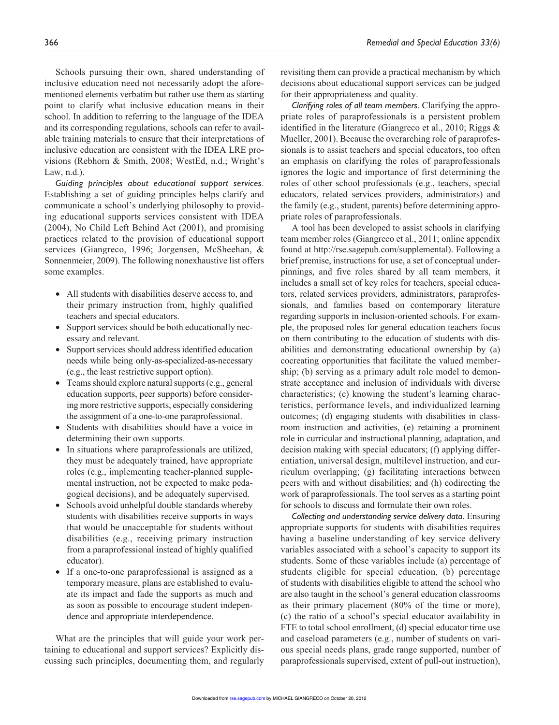Schools pursuing their own, shared understanding of inclusive education need not necessarily adopt the aforementioned elements verbatim but rather use them as starting point to clarify what inclusive education means in their school. In addition to referring to the language of the IDEA and its corresponding regulations, schools can refer to available training materials to ensure that their interpretations of inclusive education are consistent with the IDEA LRE provisions (Rebhorn & Smith, 2008; WestEd, n.d.; Wright's Law, n.d.).

*Guiding principles about educational support services*. Establishing a set of guiding principles helps clarify and communicate a school's underlying philosophy to providing educational supports services consistent with IDEA (2004), No Child Left Behind Act (2001), and promising practices related to the provision of educational support services (Giangreco, 1996; Jorgensen, McSheehan, & Sonnenmeier, 2009). The following nonexhaustive list offers some examples.

- All students with disabilities deserve access to, and their primary instruction from, highly qualified teachers and special educators.
- Support services should be both educationally necessary and relevant.
- Support services should address identified education needs while being only-as-specialized-as-necessary (e.g., the least restrictive support option).
- Teams should explore natural supports (e.g., general education supports, peer supports) before considering more restrictive supports, especially considering the assignment of a one-to-one paraprofessional.
- Students with disabilities should have a voice in determining their own supports.
- In situations where paraprofessionals are utilized, they must be adequately trained, have appropriate roles (e.g., implementing teacher-planned supplemental instruction, not be expected to make pedagogical decisions), and be adequately supervised.
- Schools avoid unhelpful double standards whereby students with disabilities receive supports in ways that would be unacceptable for students without disabilities (e.g., receiving primary instruction from a paraprofessional instead of highly qualified educator).
- If a one-to-one paraprofessional is assigned as a temporary measure, plans are established to evaluate its impact and fade the supports as much and as soon as possible to encourage student independence and appropriate interdependence.

What are the principles that will guide your work pertaining to educational and support services? Explicitly discussing such principles, documenting them, and regularly revisiting them can provide a practical mechanism by which decisions about educational support services can be judged for their appropriateness and quality.

*Clarifying roles of all team members*. Clarifying the appropriate roles of paraprofessionals is a persistent problem identified in the literature (Giangreco et al., 2010; Riggs & Mueller, 2001). Because the overarching role of paraprofessionals is to assist teachers and special educators, too often an emphasis on clarifying the roles of paraprofessionals ignores the logic and importance of first determining the roles of other school professionals (e.g., teachers, special educators, related services providers, administrators) and the family (e.g., student, parents) before determining appropriate roles of paraprofessionals.

A tool has been developed to assist schools in clarifying team member roles (Giangreco et al., 2011; online appendix found at http://rse.sagepub.com/supplemental). Following a brief premise, instructions for use, a set of conceptual underpinnings, and five roles shared by all team members, it includes a small set of key roles for teachers, special educators, related services providers, administrators, paraprofessionals, and families based on contemporary literature regarding supports in inclusion-oriented schools. For example, the proposed roles for general education teachers focus on them contributing to the education of students with disabilities and demonstrating educational ownership by (a) cocreating opportunities that facilitate the valued membership; (b) serving as a primary adult role model to demonstrate acceptance and inclusion of individuals with diverse characteristics; (c) knowing the student's learning characteristics, performance levels, and individualized learning outcomes; (d) engaging students with disabilities in classroom instruction and activities, (e) retaining a prominent role in curricular and instructional planning, adaptation, and decision making with special educators; (f) applying differentiation, universal design, multilevel instruction, and curriculum overlapping; (g) facilitating interactions between peers with and without disabilities; and (h) codirecting the work of paraprofessionals. The tool serves as a starting point for schools to discuss and formulate their own roles.

*Collecting and understanding service delivery data*. Ensuring appropriate supports for students with disabilities requires having a baseline understanding of key service delivery variables associated with a school's capacity to support its students. Some of these variables include (a) percentage of students eligible for special education, (b) percentage of students with disabilities eligible to attend the school who are also taught in the school's general education classrooms as their primary placement (80% of the time or more), (c) the ratio of a school's special educator availability in FTE to total school enrollment, (d) special educator time use and caseload parameters (e.g., number of students on various special needs plans, grade range supported, number of paraprofessionals supervised, extent of pull-out instruction),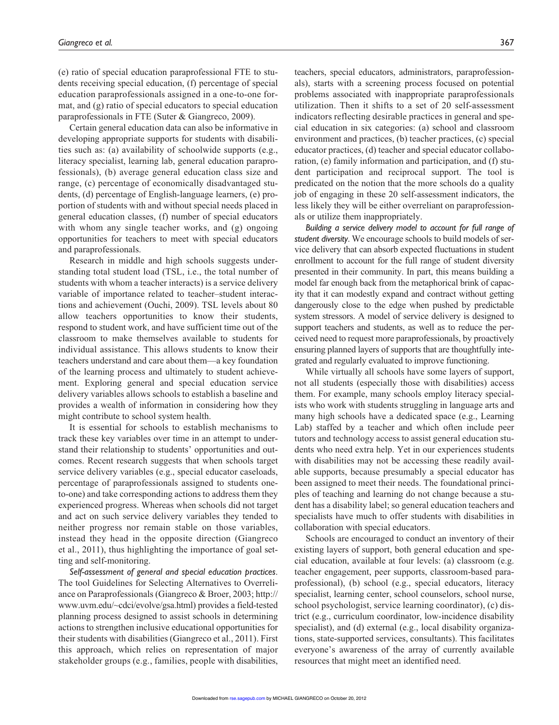(e) ratio of special education paraprofessional FTE to students receiving special education, (f) percentage of special education paraprofessionals assigned in a one-to-one format, and (g) ratio of special educators to special education paraprofessionals in FTE (Suter & Giangreco, 2009).

Certain general education data can also be informative in developing appropriate supports for students with disabilities such as: (a) availability of schoolwide supports (e.g., literacy specialist, learning lab, general education paraprofessionals), (b) average general education class size and range, (c) percentage of economically disadvantaged students, (d) percentage of English-language learners, (e) proportion of students with and without special needs placed in general education classes, (f) number of special educators with whom any single teacher works, and (g) ongoing opportunities for teachers to meet with special educators and paraprofessionals.

Research in middle and high schools suggests understanding total student load (TSL, i.e., the total number of students with whom a teacher interacts) is a service delivery variable of importance related to teacher–student interactions and achievement (Ouchi, 2009). TSL levels about 80 allow teachers opportunities to know their students, respond to student work, and have sufficient time out of the classroom to make themselves available to students for individual assistance. This allows students to know their teachers understand and care about them—a key foundation of the learning process and ultimately to student achievement. Exploring general and special education service delivery variables allows schools to establish a baseline and provides a wealth of information in considering how they might contribute to school system health.

It is essential for schools to establish mechanisms to track these key variables over time in an attempt to understand their relationship to students' opportunities and outcomes. Recent research suggests that when schools target service delivery variables (e.g., special educator caseloads, percentage of paraprofessionals assigned to students oneto-one) and take corresponding actions to address them they experienced progress. Whereas when schools did not target and act on such service delivery variables they tended to neither progress nor remain stable on those variables, instead they head in the opposite direction (Giangreco et al., 2011), thus highlighting the importance of goal setting and self-monitoring.

*Self-assessment of general and special education practices*. The tool Guidelines for Selecting Alternatives to Overreliance on Paraprofessionals (Giangreco & Broer, 2003; http:// www.uvm.edu/~cdci/evolve/gsa.html) provides a field-tested planning process designed to assist schools in determining actions to strengthen inclusive educational opportunities for their students with disabilities (Giangreco et al., 2011). First this approach, which relies on representation of major stakeholder groups (e.g., families, people with disabilities, teachers, special educators, administrators, paraprofessionals), starts with a screening process focused on potential problems associated with inappropriate paraprofessionals utilization. Then it shifts to a set of 20 self-assessment indicators reflecting desirable practices in general and special education in six categories: (a) school and classroom environment and practices, (b) teacher practices, (c) special educator practices, (d) teacher and special educator collaboration, (e) family information and participation, and (f) student participation and reciprocal support. The tool is predicated on the notion that the more schools do a quality job of engaging in these 20 self-assessment indicators, the less likely they will be either overreliant on paraprofessionals or utilize them inappropriately.

*Building a service delivery model to account for full range of student diversity*. We encourage schools to build models of service delivery that can absorb expected fluctuations in student enrollment to account for the full range of student diversity presented in their community. In part, this means building a model far enough back from the metaphorical brink of capacity that it can modestly expand and contract without getting dangerously close to the edge when pushed by predictable system stressors. A model of service delivery is designed to support teachers and students, as well as to reduce the perceived need to request more paraprofessionals, by proactively ensuring planned layers of supports that are thoughtfully integrated and regularly evaluated to improve functioning.

While virtually all schools have some layers of support, not all students (especially those with disabilities) access them. For example, many schools employ literacy specialists who work with students struggling in language arts and many high schools have a dedicated space (e.g., Learning Lab) staffed by a teacher and which often include peer tutors and technology access to assist general education students who need extra help. Yet in our experiences students with disabilities may not be accessing these readily available supports, because presumably a special educator has been assigned to meet their needs. The foundational principles of teaching and learning do not change because a student has a disability label; so general education teachers and specialists have much to offer students with disabilities in collaboration with special educators.

Schools are encouraged to conduct an inventory of their existing layers of support, both general education and special education, available at four levels: (a) classroom (e.g. teacher engagement, peer supports, classroom-based paraprofessional), (b) school (e.g., special educators, literacy specialist, learning center, school counselors, school nurse, school psychologist, service learning coordinator), (c) district (e.g., curriculum coordinator, low-incidence disability specialist), and (d) external (e.g., local disability organizations, state-supported services, consultants). This facilitates everyone's awareness of the array of currently available resources that might meet an identified need.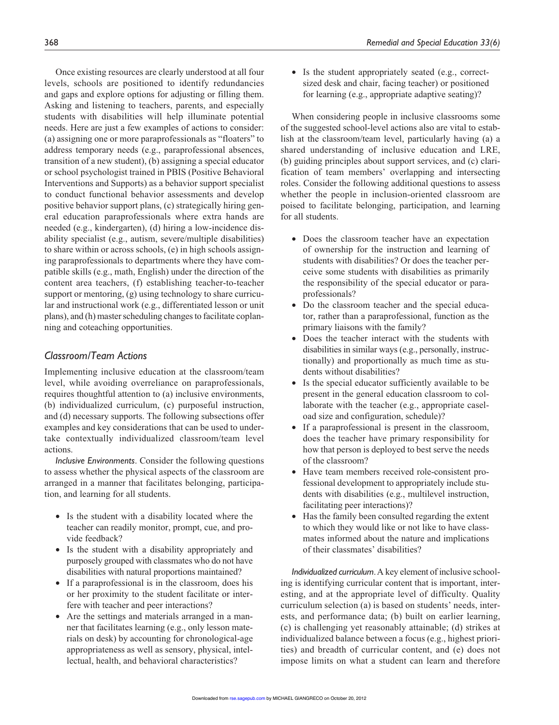Once existing resources are clearly understood at all four levels, schools are positioned to identify redundancies and gaps and explore options for adjusting or filling them. Asking and listening to teachers, parents, and especially students with disabilities will help illuminate potential needs. Here are just a few examples of actions to consider: (a) assigning one or more paraprofessionals as "floaters" to address temporary needs (e.g., paraprofessional absences, transition of a new student), (b) assigning a special educator or school psychologist trained in PBIS (Positive Behavioral Interventions and Supports) as a behavior support specialist to conduct functional behavior assessments and develop positive behavior support plans, (c) strategically hiring general education paraprofessionals where extra hands are needed (e.g., kindergarten), (d) hiring a low-incidence disability specialist (e.g., autism, severe/multiple disabilities) to share within or across schools, (e) in high schools assigning paraprofessionals to departments where they have compatible skills (e.g., math, English) under the direction of the content area teachers, (f) establishing teacher-to-teacher support or mentoring, (g) using technology to share curricular and instructional work (e.g., differentiated lesson or unit plans), and (h) master scheduling changes to facilitate coplanning and coteaching opportunities.

## *Classroom/Team Actions*

Implementing inclusive education at the classroom/team level, while avoiding overreliance on paraprofessionals, requires thoughtful attention to (a) inclusive environments, (b) individualized curriculum, (c) purposeful instruction, and (d) necessary supports. The following subsections offer examples and key considerations that can be used to undertake contextually individualized classroom/team level actions.

*Inclusive Environments*. Consider the following questions to assess whether the physical aspects of the classroom are arranged in a manner that facilitates belonging, participation, and learning for all students.

- Is the student with a disability located where the teacher can readily monitor, prompt, cue, and provide feedback?
- Is the student with a disability appropriately and purposely grouped with classmates who do not have disabilities with natural proportions maintained?
- If a paraprofessional is in the classroom, does his or her proximity to the student facilitate or interfere with teacher and peer interactions?
- Are the settings and materials arranged in a manner that facilitates learning (e.g., only lesson materials on desk) by accounting for chronological-age appropriateness as well as sensory, physical, intellectual, health, and behavioral characteristics?

• Is the student appropriately seated (e.g., correctsized desk and chair, facing teacher) or positioned for learning (e.g., appropriate adaptive seating)?

When considering people in inclusive classrooms some of the suggested school-level actions also are vital to establish at the classroom/team level, particularly having (a) a shared understanding of inclusive education and LRE, (b) guiding principles about support services, and (c) clarification of team members' overlapping and intersecting roles. Consider the following additional questions to assess whether the people in inclusion-oriented classroom are poised to facilitate belonging, participation, and learning for all students.

- Does the classroom teacher have an expectation of ownership for the instruction and learning of students with disabilities? Or does the teacher perceive some students with disabilities as primarily the responsibility of the special educator or paraprofessionals?
- Do the classroom teacher and the special educator, rather than a paraprofessional, function as the primary liaisons with the family?
- Does the teacher interact with the students with disabilities in similar ways (e.g., personally, instructionally) and proportionally as much time as students without disabilities?
- Is the special educator sufficiently available to be present in the general education classroom to collaborate with the teacher (e.g., appropriate caseload size and configuration, schedule)?
- If a paraprofessional is present in the classroom, does the teacher have primary responsibility for how that person is deployed to best serve the needs of the classroom?
- Have team members received role-consistent professional development to appropriately include students with disabilities (e.g., multilevel instruction, facilitating peer interactions)?
- Has the family been consulted regarding the extent to which they would like or not like to have classmates informed about the nature and implications of their classmates' disabilities?

*Individualized curriculum*. A key element of inclusive schooling is identifying curricular content that is important, interesting, and at the appropriate level of difficulty. Quality curriculum selection (a) is based on students' needs, interests, and performance data; (b) built on earlier learning, (c) is challenging yet reasonably attainable; (d) strikes at individualized balance between a focus (e.g., highest priorities) and breadth of curricular content, and (e) does not impose limits on what a student can learn and therefore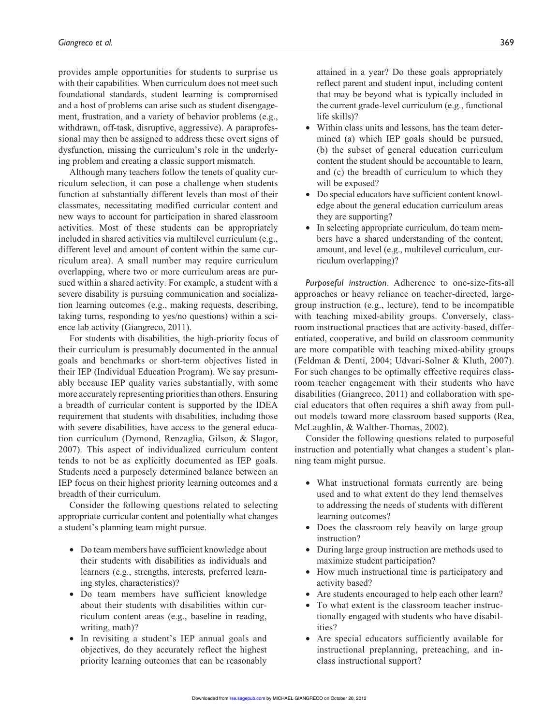provides ample opportunities for students to surprise us with their capabilities. When curriculum does not meet such foundational standards, student learning is compromised and a host of problems can arise such as student disengagement, frustration, and a variety of behavior problems (e.g., withdrawn, off-task, disruptive, aggressive). A paraprofessional may then be assigned to address these overt signs of dysfunction, missing the curriculum's role in the underlying problem and creating a classic support mismatch.

Although many teachers follow the tenets of quality curriculum selection, it can pose a challenge when students function at substantially different levels than most of their classmates, necessitating modified curricular content and new ways to account for participation in shared classroom activities. Most of these students can be appropriately included in shared activities via multilevel curriculum (e.g., different level and amount of content within the same curriculum area). A small number may require curriculum overlapping, where two or more curriculum areas are pursued within a shared activity. For example, a student with a severe disability is pursuing communication and socialization learning outcomes (e.g., making requests, describing, taking turns, responding to yes/no questions) within a science lab activity (Giangreco, 2011).

For students with disabilities, the high-priority focus of their curriculum is presumably documented in the annual goals and benchmarks or short-term objectives listed in their IEP (Individual Education Program). We say presumably because IEP quality varies substantially, with some more accurately representing priorities than others. Ensuring a breadth of curricular content is supported by the IDEA requirement that students with disabilities, including those with severe disabilities, have access to the general education curriculum (Dymond, Renzaglia, Gilson, & Slagor, 2007). This aspect of individualized curriculum content tends to not be as explicitly documented as IEP goals. Students need a purposely determined balance between an IEP focus on their highest priority learning outcomes and a breadth of their curriculum.

Consider the following questions related to selecting appropriate curricular content and potentially what changes a student's planning team might pursue.

- Do team members have sufficient knowledge about their students with disabilities as individuals and learners (e.g., strengths, interests, preferred learning styles, characteristics)?
- Do team members have sufficient knowledge about their students with disabilities within curriculum content areas (e.g., baseline in reading, writing, math)?
- In revisiting a student's IEP annual goals and objectives, do they accurately reflect the highest priority learning outcomes that can be reasonably

attained in a year? Do these goals appropriately reflect parent and student input, including content that may be beyond what is typically included in the current grade-level curriculum (e.g., functional life skills)?

- Within class units and lessons, has the team determined (a) which IEP goals should be pursued, (b) the subset of general education curriculum content the student should be accountable to learn, and (c) the breadth of curriculum to which they will be exposed?
- Do special educators have sufficient content knowledge about the general education curriculum areas they are supporting?
- In selecting appropriate curriculum, do team members have a shared understanding of the content, amount, and level (e.g., multilevel curriculum, curriculum overlapping)?

*Purposeful instruction*. Adherence to one-size-fits-all approaches or heavy reliance on teacher-directed, largegroup instruction (e.g., lecture), tend to be incompatible with teaching mixed-ability groups. Conversely, classroom instructional practices that are activity-based, differentiated, cooperative, and build on classroom community are more compatible with teaching mixed-ability groups (Feldman & Denti, 2004; Udvari-Solner & Kluth, 2007). For such changes to be optimally effective requires classroom teacher engagement with their students who have disabilities (Giangreco, 2011) and collaboration with special educators that often requires a shift away from pullout models toward more classroom based supports (Rea, McLaughlin, & Walther-Thomas, 2002).

Consider the following questions related to purposeful instruction and potentially what changes a student's planning team might pursue.

- What instructional formats currently are being used and to what extent do they lend themselves to addressing the needs of students with different learning outcomes?
- Does the classroom rely heavily on large group instruction?
- During large group instruction are methods used to maximize student participation?
- How much instructional time is participatory and activity based?
- Are students encouraged to help each other learn?
- To what extent is the classroom teacher instructionally engaged with students who have disabilities?
- Are special educators sufficiently available for instructional preplanning, preteaching, and inclass instructional support?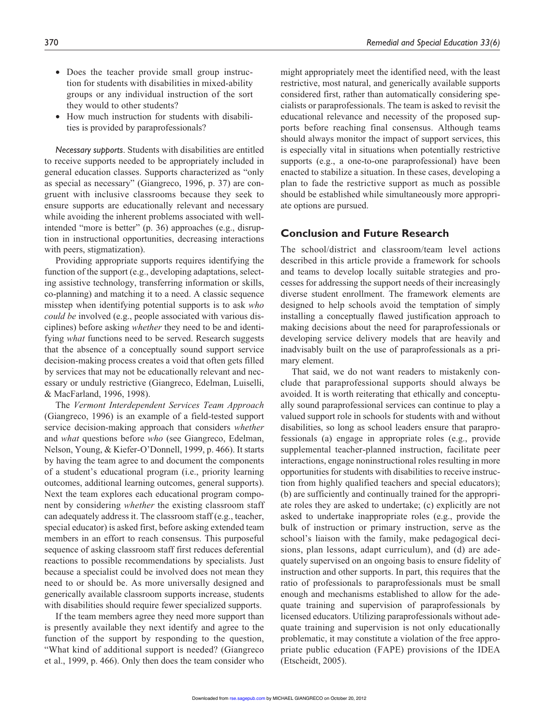- Does the teacher provide small group instruction for students with disabilities in mixed-ability groups or any individual instruction of the sort they would to other students?
- How much instruction for students with disabilities is provided by paraprofessionals?

*Necessary supports*. Students with disabilities are entitled to receive supports needed to be appropriately included in general education classes. Supports characterized as "only as special as necessary" (Giangreco, 1996, p. 37) are congruent with inclusive classrooms because they seek to ensure supports are educationally relevant and necessary while avoiding the inherent problems associated with wellintended "more is better" (p. 36) approaches (e.g., disruption in instructional opportunities, decreasing interactions with peers, stigmatization).

Providing appropriate supports requires identifying the function of the support (e.g., developing adaptations, selecting assistive technology, transferring information or skills, co-planning) and matching it to a need. A classic sequence misstep when identifying potential supports is to ask *who could be* involved (e.g., people associated with various disciplines) before asking *whether* they need to be and identifying *what* functions need to be served. Research suggests that the absence of a conceptually sound support service decision-making process creates a void that often gets filled by services that may not be educationally relevant and necessary or unduly restrictive (Giangreco, Edelman, Luiselli, & MacFarland, 1996, 1998).

The *Vermont Interdependent Services Team Approach* (Giangreco, 1996) is an example of a field-tested support service decision-making approach that considers *whether* and *what* questions before *who* (see Giangreco, Edelman, Nelson, Young, & Kiefer-O'Donnell, 1999, p. 466). It starts by having the team agree to and document the components of a student's educational program (i.e., priority learning outcomes, additional learning outcomes, general supports). Next the team explores each educational program component by considering *whether* the existing classroom staff can adequately address it. The classroom staff (e.g., teacher, special educator) is asked first, before asking extended team members in an effort to reach consensus. This purposeful sequence of asking classroom staff first reduces deferential reactions to possible recommendations by specialists. Just because a specialist could be involved does not mean they need to or should be. As more universally designed and generically available classroom supports increase, students with disabilities should require fewer specialized supports.

If the team members agree they need more support than is presently available they next identify and agree to the function of the support by responding to the question, "What kind of additional support is needed? (Giangreco et al., 1999, p. 466). Only then does the team consider who

might appropriately meet the identified need, with the least restrictive, most natural, and generically available supports considered first, rather than automatically considering specialists or paraprofessionals. The team is asked to revisit the educational relevance and necessity of the proposed supports before reaching final consensus. Although teams should always monitor the impact of support services, this is especially vital in situations when potentially restrictive supports (e.g., a one-to-one paraprofessional) have been enacted to stabilize a situation. In these cases, developing a plan to fade the restrictive support as much as possible should be established while simultaneously more appropriate options are pursued.

### **Conclusion and Future Research**

The school/district and classroom/team level actions described in this article provide a framework for schools and teams to develop locally suitable strategies and processes for addressing the support needs of their increasingly diverse student enrollment. The framework elements are designed to help schools avoid the temptation of simply installing a conceptually flawed justification approach to making decisions about the need for paraprofessionals or developing service delivery models that are heavily and inadvisably built on the use of paraprofessionals as a primary element.

That said, we do not want readers to mistakenly conclude that paraprofessional supports should always be avoided. It is worth reiterating that ethically and conceptually sound paraprofessional services can continue to play a valued support role in schools for students with and without disabilities, so long as school leaders ensure that paraprofessionals (a) engage in appropriate roles (e.g., provide supplemental teacher-planned instruction, facilitate peer interactions, engage noninstructional roles resulting in more opportunities for students with disabilities to receive instruction from highly qualified teachers and special educators); (b) are sufficiently and continually trained for the appropriate roles they are asked to undertake; (c) explicitly are not asked to undertake inappropriate roles (e.g., provide the bulk of instruction or primary instruction, serve as the school's liaison with the family, make pedagogical decisions, plan lessons, adapt curriculum), and (d) are adequately supervised on an ongoing basis to ensure fidelity of instruction and other supports. In part, this requires that the ratio of professionals to paraprofessionals must be small enough and mechanisms established to allow for the adequate training and supervision of paraprofessionals by licensed educators. Utilizing paraprofessionals without adequate training and supervision is not only educationally problematic, it may constitute a violation of the free appropriate public education (FAPE) provisions of the IDEA (Etscheidt, 2005).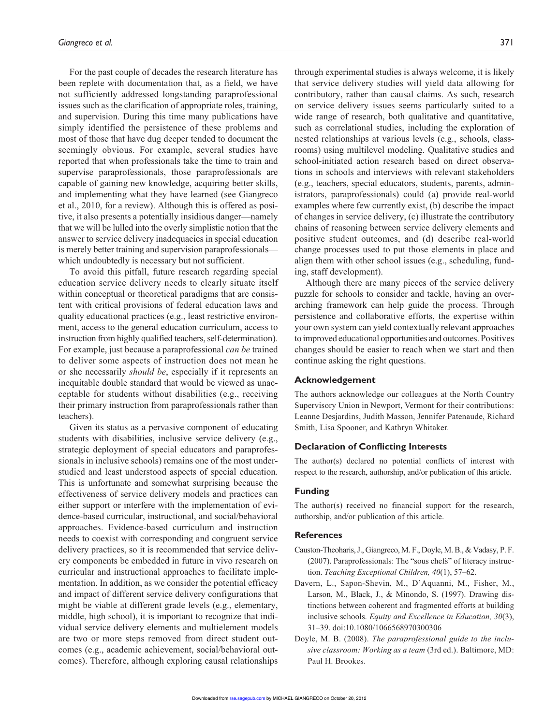For the past couple of decades the research literature has been replete with documentation that, as a field, we have not sufficiently addressed longstanding paraprofessional issues such as the clarification of appropriate roles, training, and supervision. During this time many publications have simply identified the persistence of these problems and most of those that have dug deeper tended to document the seemingly obvious. For example, several studies have reported that when professionals take the time to train and supervise paraprofessionals, those paraprofessionals are capable of gaining new knowledge, acquiring better skills, and implementing what they have learned (see Giangreco et al., 2010, for a review). Although this is offered as positive, it also presents a potentially insidious danger—namely that we will be lulled into the overly simplistic notion that the answer to service delivery inadequacies in special education is merely better training and supervision paraprofessionals which undoubtedly is necessary but not sufficient.

To avoid this pitfall, future research regarding special education service delivery needs to clearly situate itself within conceptual or theoretical paradigms that are consistent with critical provisions of federal education laws and quality educational practices (e.g., least restrictive environment, access to the general education curriculum, access to instruction from highly qualified teachers, self-determination). For example, just because a paraprofessional *can be* trained to deliver some aspects of instruction does not mean he or she necessarily *should be*, especially if it represents an inequitable double standard that would be viewed as unacceptable for students without disabilities (e.g., receiving their primary instruction from paraprofessionals rather than teachers).

Given its status as a pervasive component of educating students with disabilities, inclusive service delivery (e.g., strategic deployment of special educators and paraprofessionals in inclusive schools) remains one of the most understudied and least understood aspects of special education. This is unfortunate and somewhat surprising because the effectiveness of service delivery models and practices can either support or interfere with the implementation of evidence-based curricular, instructional, and social/behavioral approaches. Evidence-based curriculum and instruction needs to coexist with corresponding and congruent service delivery practices, so it is recommended that service delivery components be embedded in future in vivo research on curricular and instructional approaches to facilitate implementation. In addition, as we consider the potential efficacy and impact of different service delivery configurations that might be viable at different grade levels (e.g., elementary, middle, high school), it is important to recognize that individual service delivery elements and multielement models are two or more steps removed from direct student outcomes (e.g., academic achievement, social/behavioral outcomes). Therefore, although exploring causal relationships through experimental studies is always welcome, it is likely that service delivery studies will yield data allowing for contributory, rather than causal claims. As such, research on service delivery issues seems particularly suited to a wide range of research, both qualitative and quantitative, such as correlational studies, including the exploration of nested relationships at various levels (e.g., schools, classrooms) using multilevel modeling. Qualitative studies and school-initiated action research based on direct observations in schools and interviews with relevant stakeholders (e.g., teachers, special educators, students, parents, administrators, paraprofessionals) could (a) provide real-world examples where few currently exist, (b) describe the impact of changes in service delivery, (c) illustrate the contributory chains of reasoning between service delivery elements and positive student outcomes, and (d) describe real-world change processes used to put those elements in place and align them with other school issues (e.g., scheduling, funding, staff development).

Although there are many pieces of the service delivery puzzle for schools to consider and tackle, having an overarching framework can help guide the process. Through persistence and collaborative efforts, the expertise within your own system can yield contextually relevant approaches to improved educational opportunities and outcomes. Positives changes should be easier to reach when we start and then continue asking the right questions.

### **Acknowledgement**

The authors acknowledge our colleagues at the North Country Supervisory Union in Newport, Vermont for their contributions: Leanne Desjardins, Judith Masson, Jennifer Patenaude, Richard Smith, Lisa Spooner, and Kathryn Whitaker.

#### **Declaration of Conflicting Interests**

The author(s) declared no potential conflicts of interest with respect to the research, authorship, and/or publication of this article.

### **Funding**

The author(s) received no financial support for the research, authorship, and/or publication of this article.

#### **References**

- Causton-Theoharis, J., Giangreco, M. F., Doyle, M. B., & Vadasy, P. F. (2007). Paraprofessionals: The "sous chefs" of literacy instruction. *Teaching Exceptional Children, 40*(1), 57–62.
- Davern, L., Sapon-Shevin, M., D'Aquanni, M., Fisher, M., Larson, M., Black, J., & Minondo, S. (1997). Drawing distinctions between coherent and fragmented efforts at building inclusive schools. *Equity and Excellence in Education, 30*(3), 31–39. doi:10.1080/1066568970300306
- Doyle, M. B. (2008). *The paraprofessional guide to the inclusive classroom: Working as a team* (3rd ed.). Baltimore, MD: Paul H. Brookes.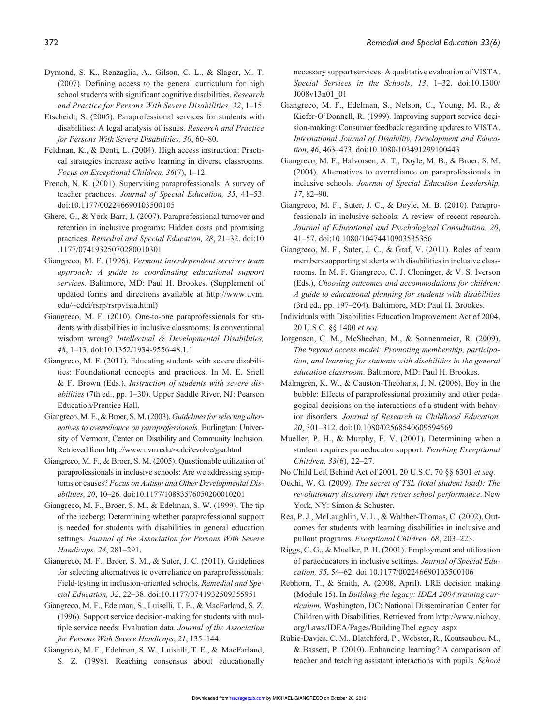- Dymond, S. K., Renzaglia, A., Gilson, C. L., & Slagor, M. T. (2007). Defining access to the general curriculum for high school students with significant cognitive disabilities. *Research and Practice for Persons With Severe Disabilities, 32*, 1–15.
- Etscheidt, S. (2005). Paraprofessional services for students with disabilities: A legal analysis of issues. *Research and Practice for Persons With Severe Disabilities, 30*, 60–80.
- Feldman, K., & Denti, L. (2004). High access instruction: Practical strategies increase active learning in diverse classrooms. *Focus on Exceptional Children, 36*(7), 1–12.
- French, N. K. (2001). Supervising paraprofessionals: A survey of teacher practices. *Journal of Special Education, 35*, 41–53. doi:10.1177/002246690103500105
- Ghere, G., & York-Barr, J. (2007). Paraprofessional turnover and retention in inclusive programs: Hidden costs and promising practices. *Remedial and Special Education, 28*, 21–32. doi:10 .1177/07419325070280010301
- Giangreco, M. F. (1996). *Vermont interdependent services team approach: A guide to coordinating educational support services.* Baltimore, MD: Paul H. Brookes. (Supplement of updated forms and directions available at http://www.uvm. edu/~cdci/rsrp/rsrpvista.html)
- Giangreco, M. F. (2010). One-to-one paraprofessionals for students with disabilities in inclusive classrooms: Is conventional wisdom wrong? *Intellectual & Developmental Disabilities, 48*, 1–13. doi:10.1352/1934-9556-48.1.1
- Giangreco, M. F. (2011). Educating students with severe disabilities: Foundational concepts and practices. In M. E. Snell & F. Brown (Eds.), *Instruction of students with severe disabilities* (7th ed., pp. 1–30). Upper Saddle River, NJ: Pearson Education/Prentice Hall.
- Giangreco, M. F., & Broer, S. M. (2003). *Guidelines for selecting alternatives to overreliance on paraprofessionals.* Burlington: University of Vermont, Center on Disability and Community Inclusion. Retrieved from http://www.uvm.edu/~cdci/evolve/gsa.html
- Giangreco, M. F., & Broer, S. M. (2005). Questionable utilization of paraprofessionals in inclusive schools: Are we addressing symptoms or causes? *Focus on Autism and Other Developmental Disabilities, 20*, 10–26. doi:10.1177/10883576050200010201
- Giangreco, M. F., Broer, S. M., & Edelman, S. W. (1999). The tip of the iceberg: Determining whether paraprofessional support is needed for students with disabilities in general education settings. *Journal of the Association for Persons With Severe Handicaps, 24*, 281–291.
- Giangreco, M. F., Broer, S. M., & Suter, J. C. (2011). Guidelines for selecting alternatives to overreliance on paraprofessionals: Field-testing in inclusion-oriented schools. *Remedial and Special Education, 32*, 22–38. doi:10.1177/0741932509355951
- Giangreco, M. F., Edelman, S., Luiselli, T. E., & MacFarland, S. Z. (1996). Support service decision-making for students with multiple service needs: Evaluation data. *Journal of the Association for Persons With Severe Handicaps*, *21*, 135–144.
- Giangreco, M. F., Edelman, S. W., Luiselli, T. E., & MacFarland, S. Z. (1998). Reaching consensus about educationally

necessary support services: A qualitative evaluation of VISTA. *Special Services in the Schools, 13*, 1–32. doi:10.1300/ J008v13n01\_01

- Giangreco, M. F., Edelman, S., Nelson, C., Young, M. R., & Kiefer-O'Donnell, R. (1999). Improving support service decision-making: Consumer feedback regarding updates to VISTA. *International Journal of Disability, Development and Education, 46*, 463–473. doi:10.1080/103491299100443
- Giangreco, M. F., Halvorsen, A. T., Doyle, M. B., & Broer, S. M. (2004). Alternatives to overreliance on paraprofessionals in inclusive schools. *Journal of Special Education Leadership, 17*, 82–90.
- Giangreco, M. F., Suter, J. C., & Doyle, M. B. (2010). Paraprofessionals in inclusive schools: A review of recent research. *Journal of Educational and Psychological Consultation, 20*, 41–57. doi:10.1080/10474410903535356
- Giangreco, M. F., Suter, J. C., & Graf, V. (2011). Roles of team members supporting students with disabilities in inclusive classrooms. In M. F. Giangreco, C. J. Cloninger, & V. S. Iverson (Eds.), *Choosing outcomes and accommodations for children: A guide to educational planning for students with disabilities* (3rd ed., pp. 197–204). Baltimore, MD: Paul H. Brookes.
- Individuals with Disabilities Education Improvement Act of 2004, 20 U.S.C. §§ 1400 *et seq.*
- Jorgensen, C. M., McSheehan, M., & Sonnenmeier, R. (2009). *The beyond access model: Promoting membership, participation, and learning for students with disabilities in the general education classroom*. Baltimore, MD: Paul H. Brookes.
- Malmgren, K. W., & Causton-Theoharis, J. N. (2006). Boy in the bubble: Effects of paraprofessional proximity and other pedagogical decisions on the interactions of a student with behavior disorders. *Journal of Research in Childhood Education, 20*, 301–312. doi:10.1080/02568540609594569
- Mueller, P. H., & Murphy, F. V. (2001). Determining when a student requires paraeducator support. *Teaching Exceptional Children, 33*(6), 22–27.
- No Child Left Behind Act of 2001, 20 U.S.C. 70 §§ 6301 *et seq.*
- Ouchi, W. G. (2009). *The secret of TSL (total student load): The revolutionary discovery that raises school performance*. New York, NY: Simon & Schuster.
- Rea, P. J., McLaughlin, V. L., & Walther-Thomas, C. (2002). Outcomes for students with learning disabilities in inclusive and pullout programs. *Exceptional Children, 68*, 203–223.
- Riggs, C. G., & Mueller, P. H. (2001). Employment and utilization of paraeducators in inclusive settings. *Journal of Special Education, 35*, 54–62. doi:10.1177/002246690103500106
- Rebhorn, T., & Smith, A. (2008, April). LRE decision making (Module 15). In *Building the legacy: IDEA 2004 training curriculum*. Washington, DC: National Dissemination Center for Children with Disabilities. Retrieved from http://www.nichcy. org/Laws/IDEA/Pages/BuildingTheLegacy .aspx
- Rubie-Davies, C. M., Blatchford, P., Webster, R., Koutsoubou, M., & Bassett, P. (2010). Enhancing learning? A comparison of teacher and teaching assistant interactions with pupils. *School*